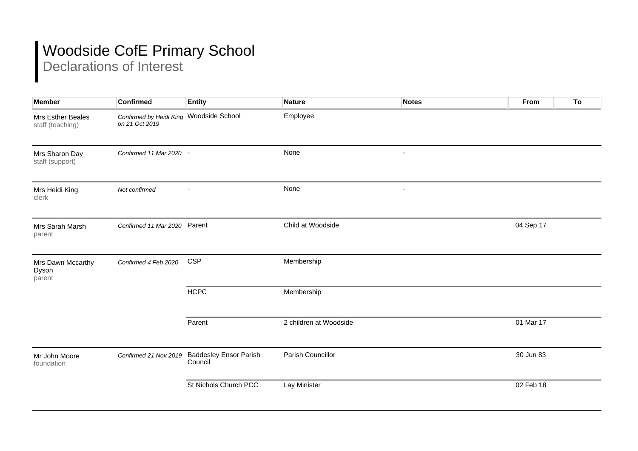## Woodside CofE Primary School

Declarations of Interest

| <b>Member</b>                         | <b>Confirmed</b>                                          | <b>Entity</b>                            | <b>Nature</b>          | <b>Notes</b>   | From      | To |
|---------------------------------------|-----------------------------------------------------------|------------------------------------------|------------------------|----------------|-----------|----|
| Mrs Esther Beales<br>staff (teaching) | Confirmed by Heidi King Woodside School<br>on 21 Oct 2019 |                                          | Employee               |                |           |    |
| Mrs Sharon Day<br>staff (support)     | Confirmed 11 Mar 2020 -                                   |                                          | None                   | $\blacksquare$ |           |    |
| Mrs Heidi King<br>clerk               | Not confirmed                                             |                                          | None                   |                |           |    |
| Mrs Sarah Marsh<br>parent             | Confirmed 11 Mar 2020 Parent                              |                                          | Child at Woodside      |                | 04 Sep 17 |    |
| Mrs Dawn Mccarthy<br>Dyson<br>parent  | Confirmed 4 Feb 2020                                      | <b>CSP</b>                               | Membership             |                |           |    |
|                                       |                                                           | <b>HCPC</b>                              | Membership             |                |           |    |
|                                       |                                                           | Parent                                   | 2 children at Woodside |                | 01 Mar 17 |    |
| Mr John Moore<br>foundation           | Confirmed 21 Nov 2019                                     | <b>Baddesley Ensor Parish</b><br>Council | Parish Councillor      |                | 30 Jun 83 |    |
|                                       |                                                           | St Nichols Church PCC                    | Lay Minister           |                | 02 Feb 18 |    |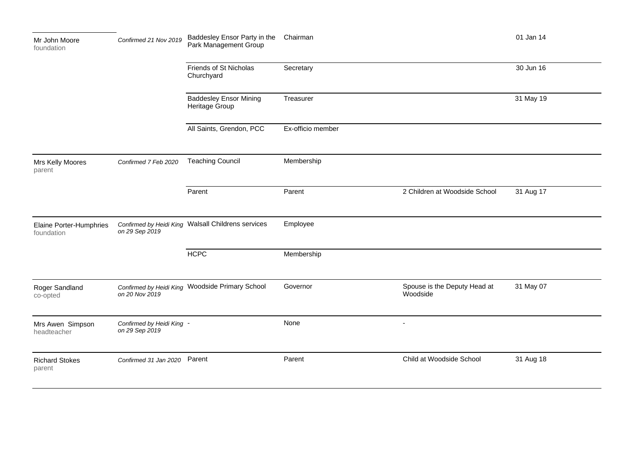| Mr John Moore<br>foundation           | Confirmed 21 Nov 2019                       | Baddesley Ensor Party in the<br>Park Management Group                                                               | Chairman          |                                          | 01 Jan 14              |
|---------------------------------------|---------------------------------------------|---------------------------------------------------------------------------------------------------------------------|-------------------|------------------------------------------|------------------------|
|                                       |                                             | Friends of St Nicholas<br>Churchyard<br><b>Baddesley Ensor Mining</b><br>Heritage Group<br>All Saints, Grendon, PCC | Secretary         |                                          | 30 Jun 16<br>31 May 19 |
|                                       |                                             |                                                                                                                     | Treasurer         |                                          |                        |
|                                       |                                             |                                                                                                                     | Ex-officio member |                                          |                        |
| Mrs Kelly Moores<br>parent            | Confirmed 7 Feb 2020                        | <b>Teaching Council</b>                                                                                             | Membership        |                                          |                        |
|                                       |                                             | Parent                                                                                                              | Parent            | 2 Children at Woodside School            | 31 Aug 17              |
| Elaine Porter-Humphries<br>foundation | on 29 Sep 2019                              | Confirmed by Heidi King Walsall Childrens services                                                                  | Employee          |                                          |                        |
|                                       |                                             | <b>HCPC</b>                                                                                                         | Membership        |                                          |                        |
| Roger Sandland<br>co-opted            | on 20 Nov 2019                              | Confirmed by Heidi King Woodside Primary School                                                                     | Governor          | Spouse is the Deputy Head at<br>Woodside | 31 May 07              |
| Mrs Awen Simpson<br>headteacher       | Confirmed by Heidi King -<br>on 29 Sep 2019 |                                                                                                                     | None              | $\sim$                                   |                        |
| <b>Richard Stokes</b><br>parent       | Confirmed 31 Jan 2020 Parent                |                                                                                                                     | Parent            | Child at Woodside School                 | 31 Aug 18              |